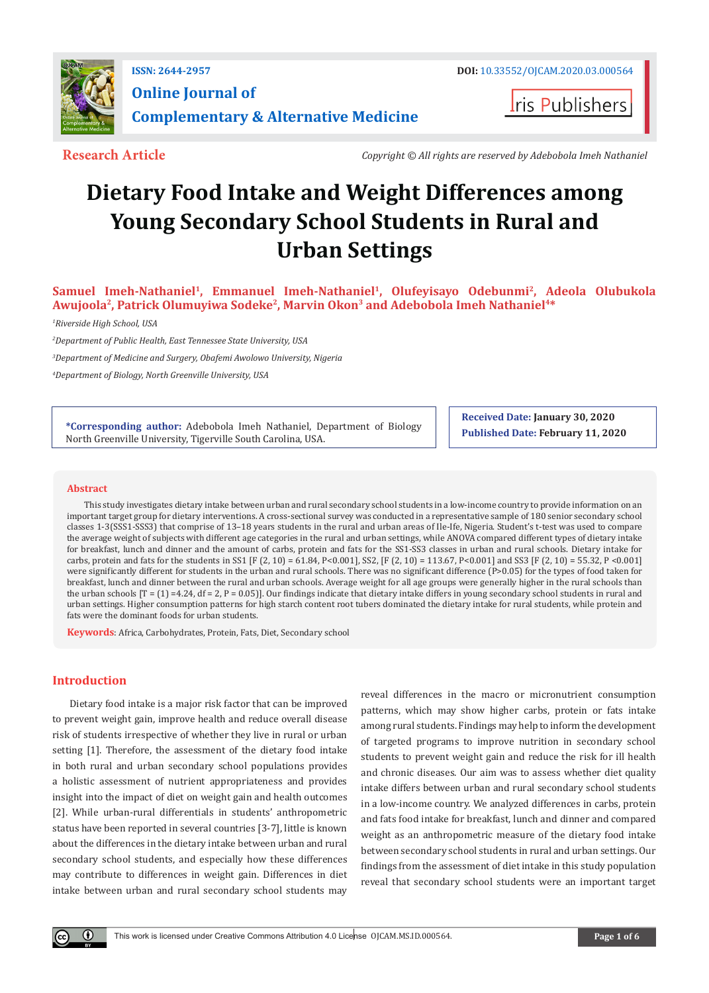

**I**ris Publishers

**Research Article** *Copyright © All rights are reserved by Adebobola Imeh Nathaniel*

# **Dietary Food Intake and Weight Differences among Young Secondary School Students in Rural and Urban Settings**

Samuel Imeh-Nathaniel<sup>1</sup>, Emmanuel Imeh-Nathaniel<sup>1</sup>, Olufeyisayo Odebunmi<sup>2</sup>, Adeola Olubukola **Awujoola2, Patrick Olumuyiwa Sodeke2, Marvin Okon3 and Adebobola Imeh Nathaniel4\***

*1 Riverside High School, USA*

*2 Department of Public Health, East Tennessee State University, USA*

*3 Department of Medicine and Surgery, Obafemi Awolowo University, Nigeria* 

*4 Department of Biology, North Greenville University, USA*

**\*Corresponding author:** Adebobola Imeh Nathaniel, Department of Biology North Greenville University, Tigerville South Carolina, USA.

**Received Date: January 30, 2020 Published Date: February 11, 2020**

#### **Abstract**

This study investigates dietary intake between urban and rural secondary school students in a low-income country to provide information on an important target group for dietary interventions. A cross-sectional survey was conducted in a representative sample of 180 senior secondary school classes 1-3(SSS1-SSS3) that comprise of 13–18 years students in the rural and urban areas of Ile-Ife, Nigeria. Student's t-test was used to compare the average weight of subjects with different age categories in the rural and urban settings, while ANOVA compared different types of dietary intake for breakfast, lunch and dinner and the amount of carbs, protein and fats for the SS1-SS3 classes in urban and rural schools. Dietary intake for carbs, protein and fats for the students in SS1 [F (2, 10) = 61.84, P<0.001], SS2, [F (2, 10) = 113.67, P<0.001] and SS3 [F (2, 10) = 55.32, P <0.001] were significantly different for students in the urban and rural schools. There was no significant difference (P>0.05) for the types of food taken for breakfast, lunch and dinner between the rural and urban schools. Average weight for all age groups were generally higher in the rural schools than the urban schools  $[T = (1) = 4.24$ ,  $df = 2$ ,  $P = 0.05$ ]. Our findings indicate that dietary intake differs in young secondary school students in rural and urban settings. Higher consumption patterns for high starch content root tubers dominated the dietary intake for rural students, while protein and fats were the dominant foods for urban students.

**Keywords**: Africa, Carbohydrates, Protein, Fats, Diet, Secondary school

## **Introduction**

 $\bf \Theta$ 

Dietary food intake is a major risk factor that can be improved to prevent weight gain, improve health and reduce overall disease risk of students irrespective of whether they live in rural or urban setting [1]. Therefore, the assessment of the dietary food intake in both rural and urban secondary school populations provides a holistic assessment of nutrient appropriateness and provides insight into the impact of diet on weight gain and health outcomes [2]. While urban-rural differentials in students' anthropometric status have been reported in several countries [3-7], little is known about the differences in the dietary intake between urban and rural secondary school students, and especially how these differences may contribute to differences in weight gain. Differences in diet intake between urban and rural secondary school students may

reveal differences in the macro or micronutrient consumption patterns, which may show higher carbs, protein or fats intake among rural students. Findings may help to inform the development of targeted programs to improve nutrition in secondary school students to prevent weight gain and reduce the risk for ill health and chronic diseases. Our aim was to assess whether diet quality intake differs between urban and rural secondary school students in a low-income country. We analyzed differences in carbs, protein and fats food intake for breakfast, lunch and dinner and compared weight as an anthropometric measure of the dietary food intake between secondary school students in rural and urban settings. Our findings from the assessment of diet intake in this study population reveal that secondary school students were an important target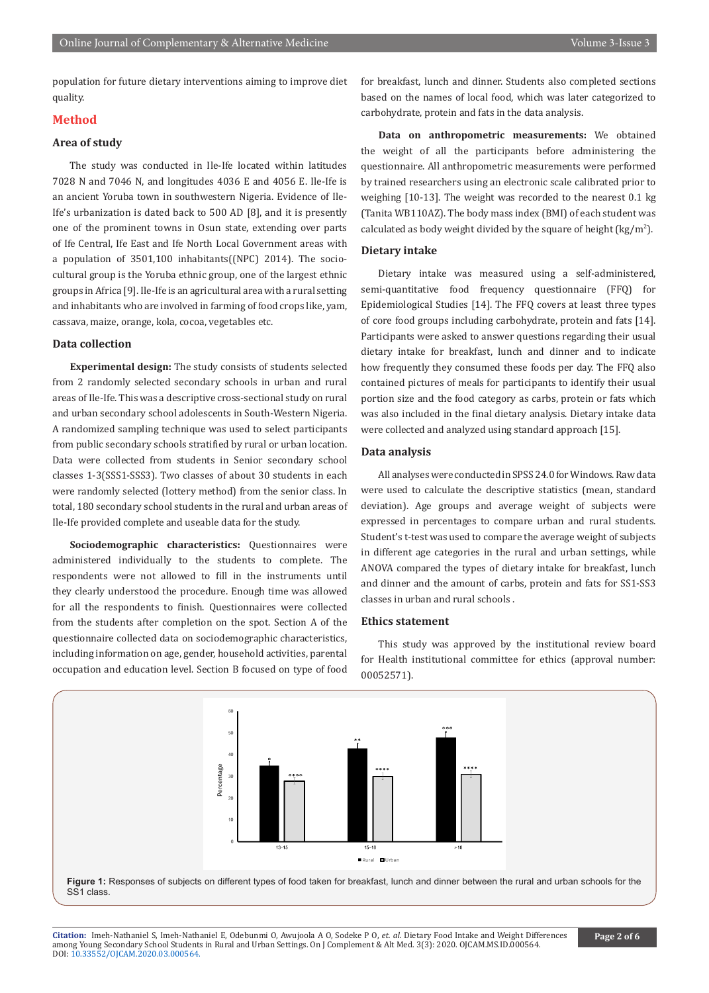population for future dietary interventions aiming to improve diet quality.

## **Method**

# **Area of study**

The study was conducted in Ile-Ife located within latitudes 7028 N and 7046 N, and longitudes 4036 E and 4056 E. Ile-Ife is an ancient Yoruba town in southwestern Nigeria. Evidence of Ile-Ife's urbanization is dated back to 500 AD [8], and it is presently one of the prominent towns in Osun state, extending over parts of Ife Central, Ife East and Ife North Local Government areas with a population of 3501,100 inhabitants((NPC) 2014). The sociocultural group is the Yoruba ethnic group, one of the largest ethnic groups in Africa [9]. Ile-Ife is an agricultural area with a rural setting and inhabitants who are involved in farming of food crops like, yam, cassava, maize, orange, kola, cocoa, vegetables etc.

#### **Data collection**

**Experimental design:** The study consists of students selected from 2 randomly selected secondary schools in urban and rural areas of Ile-Ife. This was a descriptive cross-sectional study on rural and urban secondary school adolescents in South-Western Nigeria. A randomized sampling technique was used to select participants from public secondary schools stratified by rural or urban location. Data were collected from students in Senior secondary school classes 1-3(SSS1-SSS3). Two classes of about 30 students in each were randomly selected (lottery method) from the senior class. In total, 180 secondary school students in the rural and urban areas of Ile-Ife provided complete and useable data for the study.

**Sociodemographic characteristics:** Questionnaires were administered individually to the students to complete. The respondents were not allowed to fill in the instruments until they clearly understood the procedure. Enough time was allowed for all the respondents to finish. Questionnaires were collected from the students after completion on the spot. Section A of the questionnaire collected data on sociodemographic characteristics, including information on age, gender, household activities, parental occupation and education level. Section B focused on type of food

for breakfast, lunch and dinner. Students also completed sections based on the names of local food, which was later categorized to carbohydrate, protein and fats in the data analysis.

**Data on anthropometric measurements:** We obtained the weight of all the participants before administering the questionnaire. All anthropometric measurements were performed by trained researchers using an electronic scale calibrated prior to weighing [10-13]. The weight was recorded to the nearest 0.1 kg (Tanita WB110AZ). The body mass index (BMI) of each student was calculated as body weight divided by the square of height ( $\text{kg}/\text{m}^2$ ).

## **Dietary intake**

Dietary intake was measured using a self-administered, semi-quantitative food frequency questionnaire (FFQ) for Epidemiological Studies [14]. The FFQ covers at least three types of core food groups including carbohydrate, protein and fats [14]. Participants were asked to answer questions regarding their usual dietary intake for breakfast, lunch and dinner and to indicate how frequently they consumed these foods per day. The FFQ also contained pictures of meals for participants to identify their usual portion size and the food category as carbs, protein or fats which was also included in the final dietary analysis. Dietary intake data were collected and analyzed using standard approach [15].

#### **Data analysis**

All analyses were conducted in SPSS 24.0 for Windows. Raw data were used to calculate the descriptive statistics (mean, standard deviation). Age groups and average weight of subjects were expressed in percentages to compare urban and rural students. Student's t-test was used to compare the average weight of subjects in different age categories in the rural and urban settings, while ANOVA compared the types of dietary intake for breakfast, lunch and dinner and the amount of carbs, protein and fats for SS1-SS3 classes in urban and rural schools .

#### **Ethics statement**

This study was approved by the institutional review board for Health institutional committee for ethics (approval number: 00052571).



**Figure 1:** Responses of subjects on different types of food taken for breakfast, lunch and dinner between the rural and urban schools for the SS<sub>1</sub> class

**Citation:** Imeh-Nathaniel S, Imeh-Nathaniel E, Odebunmi O, Awujoola A O, Sodeke P O, *et. al*. Dietary Food Intake and Weight Differences amo[ng Young Secondary School Studen](http://dx.doi.org/10.33552/OJCAM.2020.03.000564)ts in Rural and Urban Settings. On J Complement & Alt Med. 3(3): 2020. OJCAM.MS.ID.000564. DOI: 10.33552/OJCAM.2020.03.000564.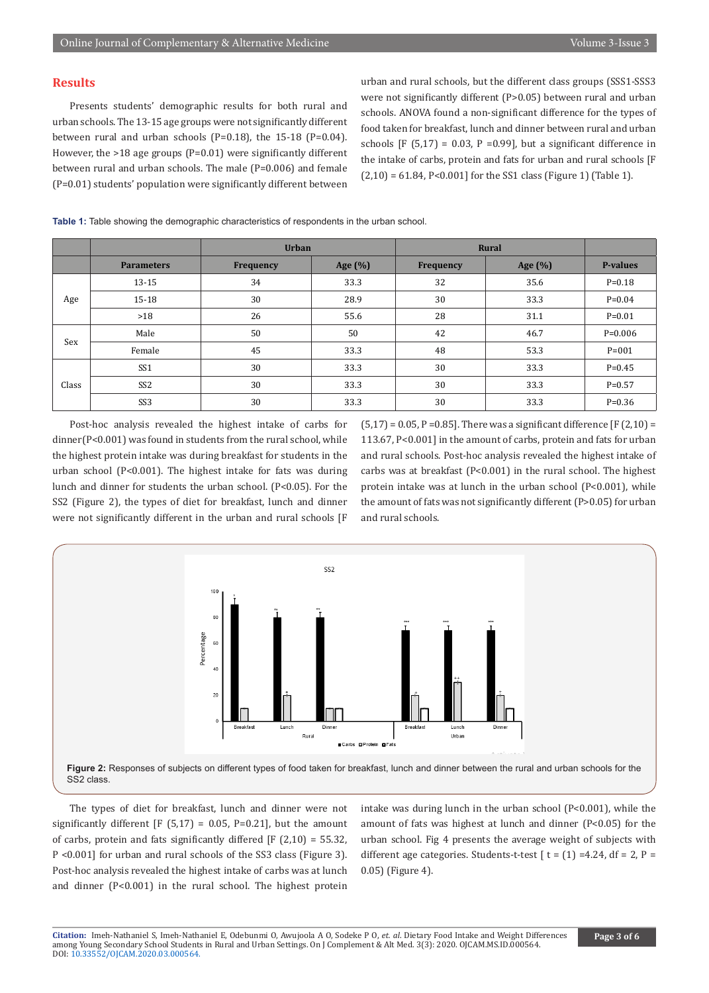## **Results**

Presents students' demographic results for both rural and urban schools. The 13-15 age groups were not significantly different between rural and urban schools (P=0.18), the 15-18 (P=0.04). However, the >18 age groups (P=0.01) were significantly different between rural and urban schools. The male (P=0.006) and female (P=0.01) students' population were significantly different between

urban and rural schools, but the different class groups (SSS1-SSS3 were not significantly different (P>0.05) between rural and urban schools. ANOVA found a non-significant difference for the types of food taken for breakfast, lunch and dinner between rural and urban schools  $[F (5,17) = 0.03, P = 0.99]$ , but a significant difference in the intake of carbs, protein and fats for urban and rural schools [F  $(2,10) = 61.84$ , P<0.001] for the SS1 class (Figure 1) (Table 1).

**Table 1:** Table showing the demographic characteristics of respondents in the urban school.

|       |                   | <b>Urban</b> |            | Rural            |         |                 |
|-------|-------------------|--------------|------------|------------------|---------|-----------------|
|       | <b>Parameters</b> | Frequency    | Age $(\%)$ | <b>Frequency</b> | Age (%) | <b>P-values</b> |
| Age   | $13 - 15$         | 34           | 33.3       | 32               | 35.6    | $P = 0.18$      |
|       | $15-18$           | 30           | 28.9       | 30               | 33.3    | $P = 0.04$      |
|       | $>18$             | 26           | 55.6       | 28               | 31.1    | $P = 0.01$      |
| Sex   | Male              | 50           | 50         | 42               | 46.7    | $P=0.006$       |
|       | Female            | 45           | 33.3       | 48               | 53.3    | $P = 001$       |
| Class | SS <sub>1</sub>   | 30           | 33.3       | 30               | 33.3    | $P = 0.45$      |
|       | SS <sub>2</sub>   | 30           | 33.3       | 30               | 33.3    | $P = 0.57$      |
|       | SS <sub>3</sub>   | 30           | 33.3       | 30               | 33.3    | $P = 0.36$      |

Post-hoc analysis revealed the highest intake of carbs for dinner(P<0.001) was found in students from the rural school, while the highest protein intake was during breakfast for students in the urban school (P<0.001). The highest intake for fats was during lunch and dinner for students the urban school. (P<0.05). For the SS2 (Figure 2), the types of diet for breakfast, lunch and dinner were not significantly different in the urban and rural schools [F

 $(5,17) = 0.05$ , P = 0.85]. There was a significant difference [F (2,10) = 113.67, P<0.001] in the amount of carbs, protein and fats for urban and rural schools. Post-hoc analysis revealed the highest intake of carbs was at breakfast (P<0.001) in the rural school. The highest protein intake was at lunch in the urban school (P<0.001), while the amount of fats was not significantly different (P>0.05) for urban and rural schools.



The types of diet for breakfast, lunch and dinner were not significantly different  $[F (5,17) = 0.05, P=0.21]$ , but the amount of carbs, protein and fats significantly differed  $[F (2,10) = 55.32]$ , P <0.001] for urban and rural schools of the SS3 class (Figure 3). Post-hoc analysis revealed the highest intake of carbs was at lunch and dinner (P<0.001) in the rural school. The highest protein

intake was during lunch in the urban school (P<0.001), while the amount of fats was highest at lunch and dinner (P<0.05) for the urban school. Fig 4 presents the average weight of subjects with different age categories. Students-t-test  $\lceil t = (1) = 4.24$ , df = 2, P = 0.05) (Figure 4).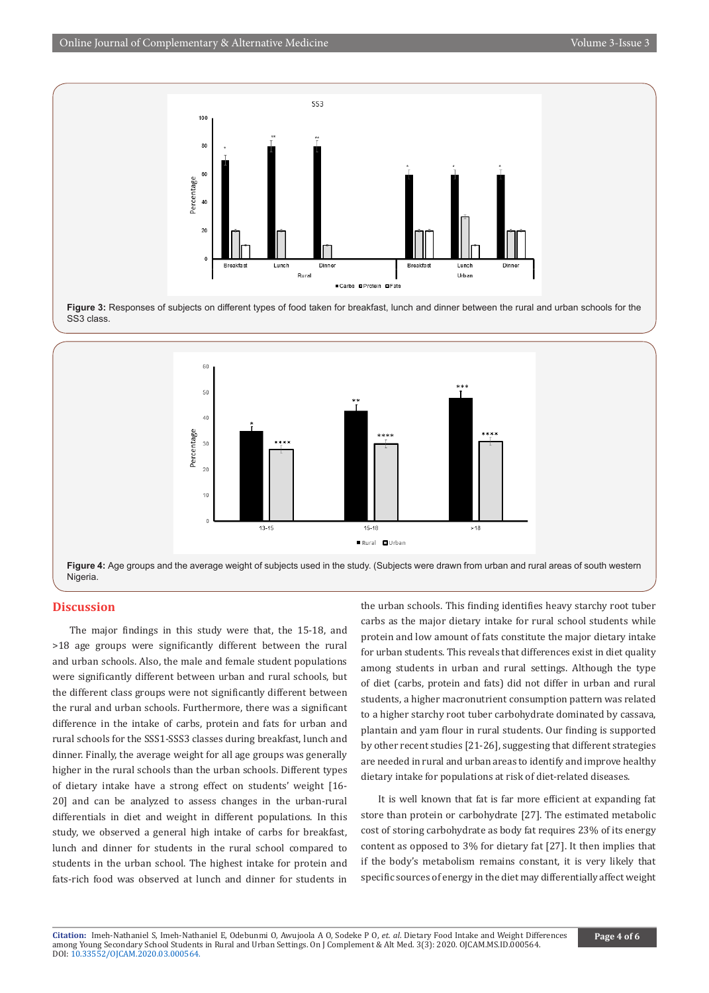

**Figure 3:** Responses of subjects on different types of food taken for breakfast, lunch and dinner between the rural and urban schools for the SS3 class.



**Figure 4:** Age groups and the average weight of subjects used in the study. (Subjects were drawn from urban and rural areas of south western Nigeria.

## **Discussion**

The major findings in this study were that, the 15-18, and >18 age groups were significantly different between the rural and urban schools. Also, the male and female student populations were significantly different between urban and rural schools, but the different class groups were not significantly different between the rural and urban schools. Furthermore, there was a significant difference in the intake of carbs, protein and fats for urban and rural schools for the SSS1-SSS3 classes during breakfast, lunch and dinner. Finally, the average weight for all age groups was generally higher in the rural schools than the urban schools. Different types of dietary intake have a strong effect on students' weight [16- 20] and can be analyzed to assess changes in the urban-rural differentials in diet and weight in different populations. In this study, we observed a general high intake of carbs for breakfast, lunch and dinner for students in the rural school compared to students in the urban school. The highest intake for protein and fats-rich food was observed at lunch and dinner for students in the urban schools. This finding identifies heavy starchy root tuber carbs as the major dietary intake for rural school students while protein and low amount of fats constitute the major dietary intake for urban students. This reveals that differences exist in diet quality among students in urban and rural settings. Although the type of diet (carbs, protein and fats) did not differ in urban and rural students, a higher macronutrient consumption pattern was related to a higher starchy root tuber carbohydrate dominated by cassava, plantain and yam flour in rural students. Our finding is supported by other recent studies [21-26], suggesting that different strategies are needed in rural and urban areas to identify and improve healthy dietary intake for populations at risk of diet-related diseases.

It is well known that fat is far more efficient at expanding fat store than protein or carbohydrate [27]. The estimated metabolic cost of storing carbohydrate as body fat requires 23% of its energy content as opposed to 3% for dietary fat [27]. It then implies that if the body's metabolism remains constant, it is very likely that specific sources of energy in the diet may differentially affect weight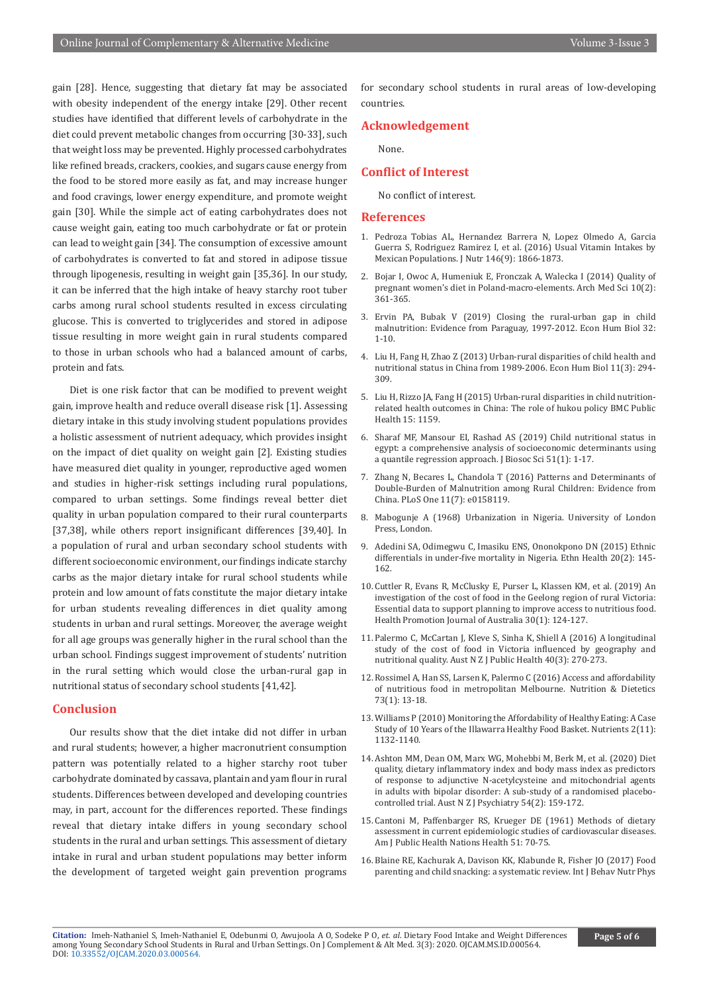gain [28]. Hence, suggesting that dietary fat may be associated with obesity independent of the energy intake [29]. Other recent studies have identified that different levels of carbohydrate in the diet could prevent metabolic changes from occurring [30-33], such that weight loss may be prevented. Highly processed carbohydrates like refined breads, crackers, cookies, and sugars cause energy from the food to be stored more easily as fat, and may increase hunger and food cravings, lower energy expenditure, and promote weight gain [30]. While the simple act of eating carbohydrates does not cause weight gain, eating too much carbohydrate or fat or protein can lead to weight gain [34]. The consumption of excessive amount of carbohydrates is converted to fat and stored in adipose tissue through lipogenesis, resulting in weight gain [35,36]. In our study, it can be inferred that the high intake of heavy starchy root tuber carbs among rural school students resulted in excess circulating glucose. This is converted to triglycerides and stored in adipose tissue resulting in more weight gain in rural students compared to those in urban schools who had a balanced amount of carbs, protein and fats.

Diet is one risk factor that can be modified to prevent weight gain, improve health and reduce overall disease risk [1]. Assessing dietary intake in this study involving student populations provides a holistic assessment of nutrient adequacy, which provides insight on the impact of diet quality on weight gain [2]. Existing studies have measured diet quality in younger, reproductive aged women and studies in higher-risk settings including rural populations, compared to urban settings. Some findings reveal better diet quality in urban population compared to their rural counterparts [37,38], while others report insignificant differences [39,40]. In a population of rural and urban secondary school students with different socioeconomic environment, our findings indicate starchy carbs as the major dietary intake for rural school students while protein and low amount of fats constitute the major dietary intake for urban students revealing differences in diet quality among students in urban and rural settings. Moreover, the average weight for all age groups was generally higher in the rural school than the urban school. Findings suggest improvement of students' nutrition in the rural setting which would close the urban-rural gap in nutritional status of secondary school students [41,42].

## **Conclusion**

Our results show that the diet intake did not differ in urban and rural students; however, a higher macronutrient consumption pattern was potentially related to a higher starchy root tuber carbohydrate dominated by cassava, plantain and yam flour in rural students. Differences between developed and developing countries may, in part, account for the differences reported. These findings reveal that dietary intake differs in young secondary school students in the rural and urban settings. This assessment of dietary intake in rural and urban student populations may better inform the development of targeted weight gain prevention programs for secondary school students in rural areas of low-developing countries.

## **Acknowledgement**

None.

## **Conflict of Interest**

No conflict of interest.

#### **References**

- 1. [Pedroza Tobias AL, Hernandez Barrera N, Lopez Olmedo A, Garcia](https://www.ncbi.nlm.nih.gov/pubmed/27511936)  [Guerra S, Rodriguez Ramirez I, et al. \(2016\) Usual Vitamin Intakes by](https://www.ncbi.nlm.nih.gov/pubmed/27511936)  [Mexican Populations. J Nutr 146\(9\): 1866-1873.](https://www.ncbi.nlm.nih.gov/pubmed/27511936)
- 2. [Bojar I, Owoc A, Humeniuk E, Fronczak A, Walecka I \(2014\) Quality of](https://www.ncbi.nlm.nih.gov/pubmed/24904673)  [pregnant women's diet in Poland-macro-elements. Arch Med Sci 10\(2\):](https://www.ncbi.nlm.nih.gov/pubmed/24904673)  [361-365.](https://www.ncbi.nlm.nih.gov/pubmed/24904673)
- 3. [Ervin PA, Bubak V \(2019\) Closing the rural-urban gap in child](https://www.ncbi.nlm.nih.gov/pubmed/30529821)  [malnutrition: Evidence from Paraguay, 1997-2012. Econ Hum Biol 32:](https://www.ncbi.nlm.nih.gov/pubmed/30529821)  [1-10.](https://www.ncbi.nlm.nih.gov/pubmed/30529821)
- 4. [Liu H, Fang H, Zhao Z \(2013\) Urban-rural disparities of child health and](https://www.ncbi.nlm.nih.gov/pubmed/22608863)  [nutritional status in China from 1989-2006. Econ Hum Biol 11\(3\): 294-](https://www.ncbi.nlm.nih.gov/pubmed/22608863) [309.](https://www.ncbi.nlm.nih.gov/pubmed/22608863)
- 5. [Liu H, Rizzo JA, Fang H \(2015\) Urban-rural disparities in child nutrition](https://www.ncbi.nlm.nih.gov/pubmed/26596931)[related health outcomes in China: The role of hukou policy BMC Public](https://www.ncbi.nlm.nih.gov/pubmed/26596931)  [Health 15: 1159.](https://www.ncbi.nlm.nih.gov/pubmed/26596931)
- 6. [Sharaf MF, Mansour EI, Rashad AS \(2019\) Child nutritional status in](https://www.ncbi.nlm.nih.gov/pubmed/29316992)  [egypt: a comprehensive analysis of socioeconomic determinants using](https://www.ncbi.nlm.nih.gov/pubmed/29316992)  [a quantile regression approach. J Biosoc Sci 51\(1\): 1-17.](https://www.ncbi.nlm.nih.gov/pubmed/29316992)
- 7. [Zhang N, Becares L, Chandola T \(2016\) Patterns and Determinants of](https://www.ncbi.nlm.nih.gov/pubmed/27391448)  [Double-Burden of Malnutrition among Rural Children: Evidence from](https://www.ncbi.nlm.nih.gov/pubmed/27391448)  [China. PLoS One 11\(7\): e0158119.](https://www.ncbi.nlm.nih.gov/pubmed/27391448)
- 8. Mabogunje A (1968) Urbanization in Nigeria. University of London Press, London.
- 9. [Adedini SA, Odimegwu C, Imasiku ENS, Ononokpono DN \(2015\) Ethnic](https://www.ncbi.nlm.nih.gov/pubmed/24593689)  [differentials in under-five mortality in Nigeria. Ethn Health 20\(2\): 145-](https://www.ncbi.nlm.nih.gov/pubmed/24593689) [162.](https://www.ncbi.nlm.nih.gov/pubmed/24593689)
- 10. Cuttler R, Evans R, McClusky E, Purser L, Klassen KM, et al. (2019) An investigation of the cost of food in the Geelong region of rural Victoria: Essential data to support planning to improve access to nutritious food. Health Promotion Journal of Australia 30(1): 124-127.
- 11. [Palermo C, McCartan J, Kleve S, Sinha K, Shiell A \(2016\) A longitudinal](https://www.ncbi.nlm.nih.gov/pubmed/27027641)  [study of the cost of food in Victoria influenced by geography and](https://www.ncbi.nlm.nih.gov/pubmed/27027641)  [nutritional quality. Aust N Z J Public Health 40\(3\): 270-273.](https://www.ncbi.nlm.nih.gov/pubmed/27027641)
- 12. Rossimel A, Han SS, Larsen K, Palermo C (2016) Access and affordability of nutritious food in metropolitan Melbourne. Nutrition & Dietetics 73(1): 13-18.
- 13. [Williams P \(2010\) Monitoring the Affordability of Healthy Eating: A Case](https://www.ncbi.nlm.nih.gov/pubmed/22254001)  [Study of 10 Years of the Illawarra Healthy Food Basket. Nutrients 2\(11\):](https://www.ncbi.nlm.nih.gov/pubmed/22254001)  [1132-1140.](https://www.ncbi.nlm.nih.gov/pubmed/22254001)
- 14. [Ashton MM, Dean OM, Marx WG, Mohebbi M, Berk M, et al. \(2020\) Diet](https://www.ncbi.nlm.nih.gov/pubmed/31661974)  [quality, dietary inflammatory index and body mass index as predictors](https://www.ncbi.nlm.nih.gov/pubmed/31661974)  [of response to adjunctive N-acetylcysteine and mitochondrial agents](https://www.ncbi.nlm.nih.gov/pubmed/31661974)  [in adults with bipolar disorder: A sub-study of a randomised placebo](https://www.ncbi.nlm.nih.gov/pubmed/31661974)[controlled trial. Aust N Z J Psychiatry 54\(2\): 159-172.](https://www.ncbi.nlm.nih.gov/pubmed/31661974)
- 15. [Cantoni M, Paffenbarger RS, Krueger DE \(1961\) Methods of dietary](https://www.ncbi.nlm.nih.gov/pubmed/13690520)  [assessment in current epidemiologic studies of cardiovascular diseases.](https://www.ncbi.nlm.nih.gov/pubmed/13690520)  [Am J Public Health Nations Health 51: 70-75.](https://www.ncbi.nlm.nih.gov/pubmed/13690520)
- 16. [Blaine RE, Kachurak A, Davison KK, Klabunde R, Fisher JO \(2017\) Food](https://www.ncbi.nlm.nih.gov/pubmed/29096640)  [parenting and child snacking: a systematic review. Int J Behav Nutr Phys](https://www.ncbi.nlm.nih.gov/pubmed/29096640)